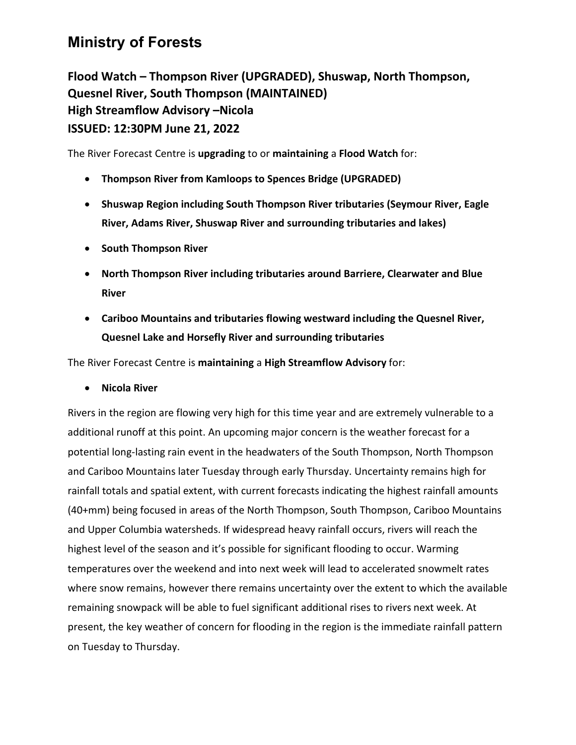## **Ministry of Forests**

**Flood Watch – Thompson River (UPGRADED), Shuswap, North Thompson, Quesnel River, South Thompson (MAINTAINED) High Streamflow Advisory –Nicola ISSUED: 12:30PM June 21, 2022**

The River Forecast Centre is **upgrading** to or **maintaining** a **Flood Watch** for:

- **Thompson River from Kamloops to Spences Bridge (UPGRADED)**
- **Shuswap Region including South Thompson River tributaries (Seymour River, Eagle River, Adams River, Shuswap River and surrounding tributaries and lakes)**
- **South Thompson River**
- **North Thompson River including tributaries around Barriere, Clearwater and Blue River**
- **Cariboo Mountains and tributaries flowing westward including the Quesnel River, Quesnel Lake and Horsefly River and surrounding tributaries**

The River Forecast Centre is **maintaining** a **High Streamflow Advisory** for:

• **Nicola River**

Rivers in the region are flowing very high for this time year and are extremely vulnerable to a additional runoff at this point. An upcoming major concern is the weather forecast for a potential long-lasting rain event in the headwaters of the South Thompson, North Thompson and Cariboo Mountains later Tuesday through early Thursday. Uncertainty remains high for rainfall totals and spatial extent, with current forecasts indicating the highest rainfall amounts (40+mm) being focused in areas of the North Thompson, South Thompson, Cariboo Mountains and Upper Columbia watersheds. If widespread heavy rainfall occurs, rivers will reach the highest level of the season and it's possible for significant flooding to occur. Warming temperatures over the weekend and into next week will lead to accelerated snowmelt rates where snow remains, however there remains uncertainty over the extent to which the available remaining snowpack will be able to fuel significant additional rises to rivers next week. At present, the key weather of concern for flooding in the region is the immediate rainfall pattern on Tuesday to Thursday.